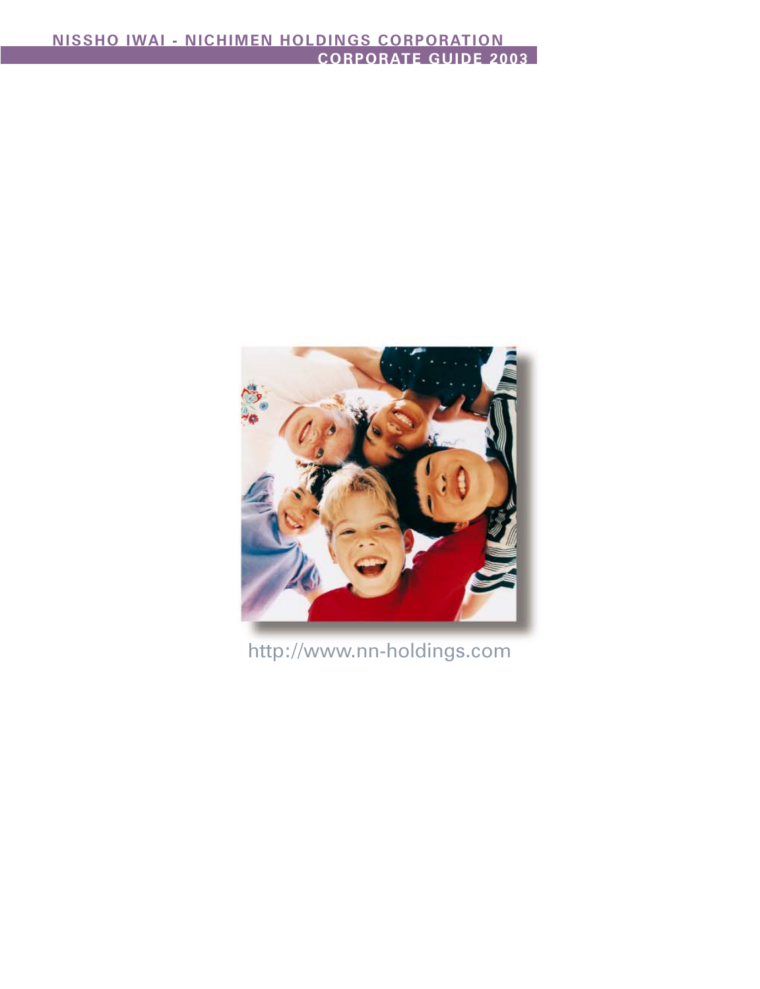

http://www.nn-holdings.com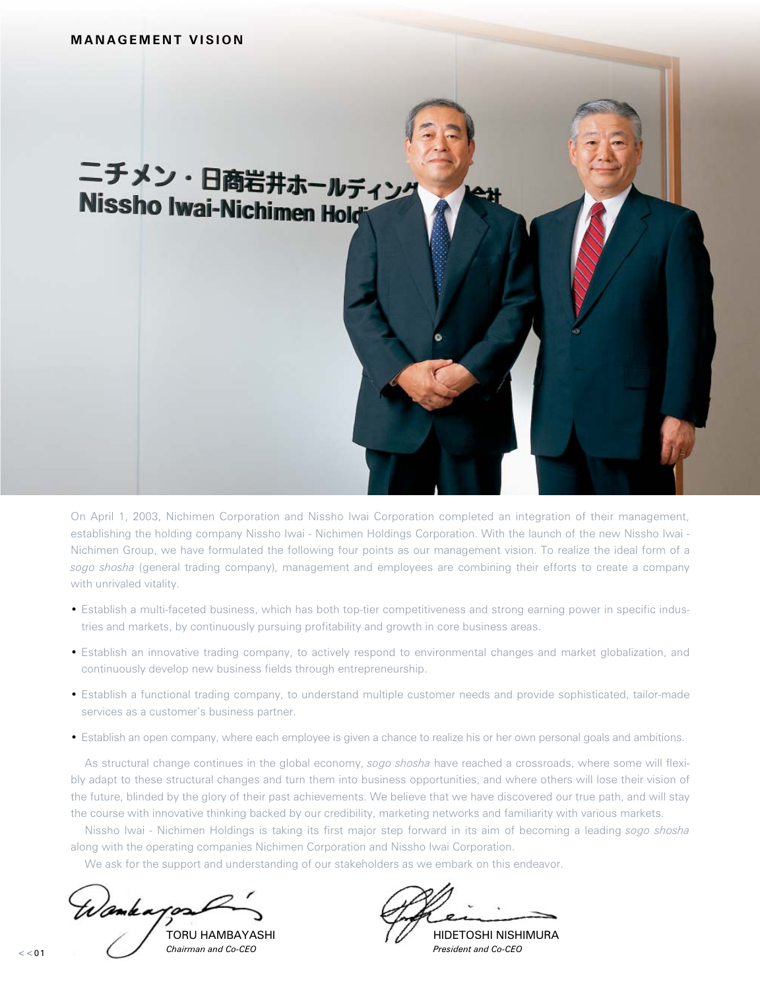# ニチメン・日商岩井ホールディング **Nissho Iwai-Nichimen Hold**

On April 1, 2003, Nichimen Corporation and Nissho Iwai Corporation completed an integration of their management, establishing the holding company Nissho Iwai - Nichimen Holdings Corporation. With the launch of the new Nissho Iwai - Nichimen Group, we have formulated the following four points as our management vision. To realize the ideal form of a *sogo shosha* (general trading company), management and employees are combining their efforts to create a company with unrivaled vitality.

- Establish a multi-faceted business, which has both top-tier competitiveness and strong earning power in specific industries and markets, by continuously pursuing profitability and growth in core business areas.
- Establish an innovative trading company, to actively respond to environmental changes and market globalization, and continuously develop new business fields through entrepreneurship.
- Establish a functional trading company, to understand multiple customer needs and provide sophisticated, tailor-made services as a customer's business partner.
- Establish an open company, where each employee is given a chance to realize his or her own personal goals and ambitions.

As structural change continues in the global economy, *sogo shosha* have reached a crossroads, where some will flexibly adapt to these structural changes and turn them into business opportunities, and where others will lose their vision of the future, blinded by the glory of their past achievements. We believe that we have discovered our true path, and will stay the course with innovative thinking backed by our credibility, marketing networks and familiarity with various markets.

Nissho Iwai - Nichimen Holdings is taking its first major step forward in its aim of becoming a leading *sogo shosha* along with the operating companies Nichimen Corporation and Nissho Iwai Corporation.

We ask for the support and understanding of our stakeholders as we embark on this endeavor.

Wankappa

*Chairman and Co-CEO President and Co-CEO*

TORU HAMBAYASHI HIDETOSHI NISHIMURA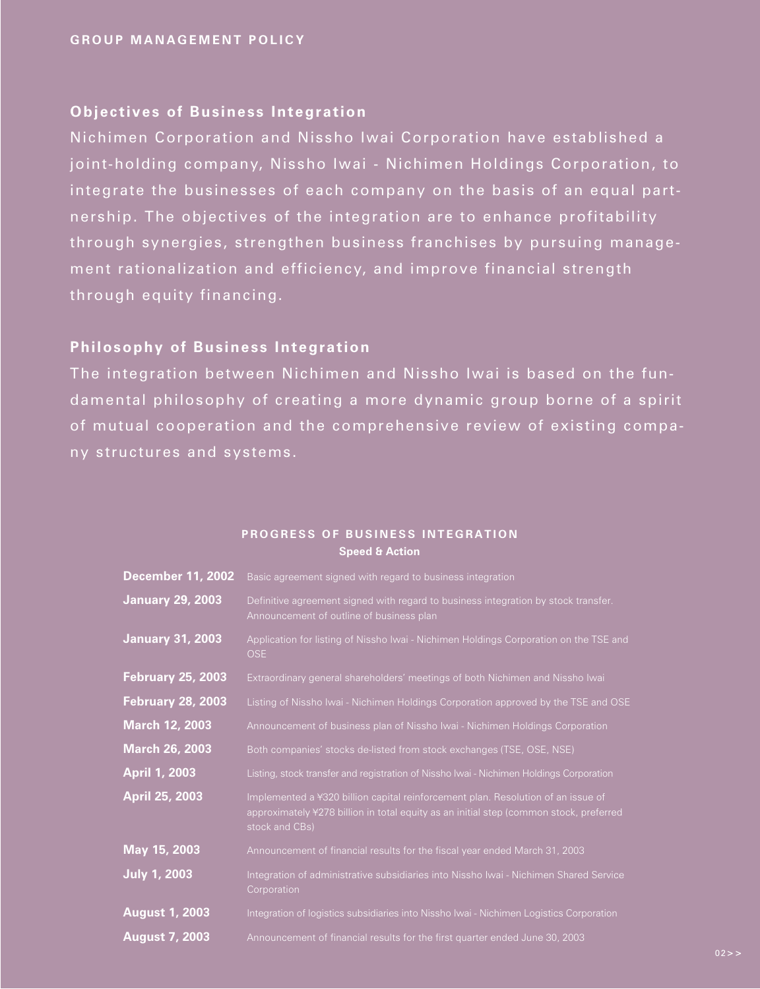# **Objectives of Business Integration**

Nichimen Corporation and Nissho Iwai Corporation have established a joint-holding company, Nissho Iwai - Nichimen Holdings Corporation, to integrate the businesses of each company on the basis of an equal partnership. The objectives of the integration are to enhance profitability through synergies, strengthen business franchises by pursuing management rationalization and efficiency, and improve financial strength through equity financing.

## **Philosophy of Business Integration**

The integration between Nichimen and Nissho Iwai is based on the fundamental philosophy of creating a more dynamic group borne of a spirit of mutual cooperation and the comprehensive review of existing company structures and systems.

| <b>December 11, 2002</b> | Basic agreement signed with regard to business integration                                                                                                                                   |
|--------------------------|----------------------------------------------------------------------------------------------------------------------------------------------------------------------------------------------|
| <b>January 29, 2003</b>  | Definitive agreement signed with regard to business integration by stock transfer.<br>Announcement of outline of business plan                                                               |
| <b>January 31, 2003</b>  | Application for listing of Nissho Iwai - Nichimen Holdings Corporation on the TSE and<br>OSE                                                                                                 |
| <b>February 25, 2003</b> | Extraordinary general shareholders' meetings of both Nichimen and Nissho Iwai                                                                                                                |
| <b>February 28, 2003</b> | Listing of Nissho Iwai - Nichimen Holdings Corporation approved by the TSE and OSE                                                                                                           |
| March 12, 2003           | Announcement of business plan of Nissho Iwai - Nichimen Holdings Corporation                                                                                                                 |
| <b>March 26, 2003</b>    | Both companies' stocks de-listed from stock exchanges (TSE, OSE, NSE)                                                                                                                        |
| <b>April 1, 2003</b>     | Listing, stock transfer and registration of Nissho Iwai - Nichimen Holdings Corporation                                                                                                      |
| April 25, 2003           | Implemented a ¥320 billion capital reinforcement plan. Resolution of an issue of<br>approximately ¥278 billion in total equity as an initial step (common stock, preferred<br>stock and CBs) |
| May 15, 2003             | Announcement of financial results for the fiscal year ended March 31, 2003                                                                                                                   |
| <b>July 1, 2003</b>      | Integration of administrative subsidiaries into Nissho Iwai - Nichimen Shared Service<br>Corporation                                                                                         |
| <b>August 1, 2003</b>    | Integration of logistics subsidiaries into Nissho Iwai - Nichimen Logistics Corporation                                                                                                      |
| <b>August 7, 2003</b>    | Announcement of financial results for the first quarter ended June 30, 2003                                                                                                                  |

## **PROGRESS OF BUSINESS INTEGRATION Speed & Action**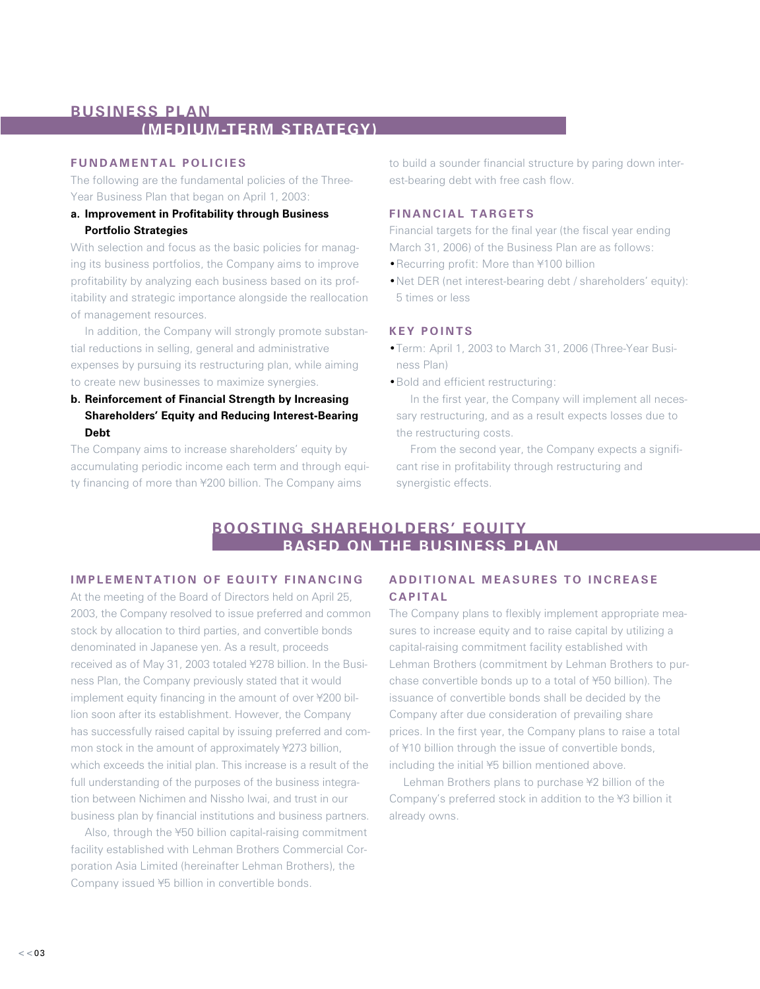# **BUSINESS PLAN (MEDIUM-TERM STRATEGY)**

## **FUNDAMENTAL POLICIES**

The following are the fundamental policies of the Three-Year Business Plan that began on April 1, 2003:

## **a. Improvement in Profitability through Business Portfolio Strategies**

With selection and focus as the basic policies for managing its business portfolios, the Company aims to improve profitability by analyzing each business based on its profitability and strategic importance alongside the reallocation of management resources.

In addition, the Company will strongly promote substantial reductions in selling, general and administrative expenses by pursuing its restructuring plan, while aiming to create new businesses to maximize synergies.

**b. Reinforcement of Financial Strength by Increasing Shareholders' Equity and Reducing Interest-Bearing Debt**

The Company aims to increase shareholders' equity by accumulating periodic income each term and through equity financing of more than ¥200 billion. The Company aims

to build a sounder financial structure by paring down interest-bearing debt with free cash flow.

## **FINANCIAL TARGETS**

Financial targets for the final year (the fiscal year ending March 31, 2006) of the Business Plan are as follows:

- •Recurring profit: More than ¥100 billion
- •Net DER (net interest-bearing debt / shareholders' equity): 5 times or less

## **KEY POINTS**

- •Term: April 1, 2003 to March 31, 2006 (Three-Year Business Plan)
- •Bold and efficient restructuring:

In the first year, the Company will implement all necessary restructuring, and as a result expects losses due to the restructuring costs.

From the second year, the Company expects a significant rise in profitability through restructuring and synergistic effects.

# **BOOSTING SHAREHOLDERS' EQUITY BASED ON THE BUSINESS PLAN**

## **IMPLEMENTATION OF EQUITY FINANCING**

At the meeting of the Board of Directors held on April 25, 2003, the Company resolved to issue preferred and common stock by allocation to third parties, and convertible bonds denominated in Japanese yen. As a result, proceeds received as of May 31, 2003 totaled ¥278 billion. In the Business Plan, the Company previously stated that it would implement equity financing in the amount of over ¥200 billion soon after its establishment. However, the Company has successfully raised capital by issuing preferred and common stock in the amount of approximately ¥273 billion, which exceeds the initial plan. This increase is a result of the full understanding of the purposes of the business integration between Nichimen and Nissho Iwai, and trust in our business plan by financial institutions and business partners.

Also, through the ¥50 billion capital-raising commitment facility established with Lehman Brothers Commercial Corporation Asia Limited (hereinafter Lehman Brothers), the Company issued ¥5 billion in convertible bonds.

# **ADDITIONAL MEASURES TO INCREASE CAPITAL**

The Company plans to flexibly implement appropriate measures to increase equity and to raise capital by utilizing a capital-raising commitment facility established with Lehman Brothers (commitment by Lehman Brothers to purchase convertible bonds up to a total of ¥50 billion). The issuance of convertible bonds shall be decided by the Company after due consideration of prevailing share prices. In the first year, the Company plans to raise a total of ¥10 billion through the issue of convertible bonds, including the initial ¥5 billion mentioned above.

Lehman Brothers plans to purchase ¥2 billion of the Company's preferred stock in addition to the ¥3 billion it already owns.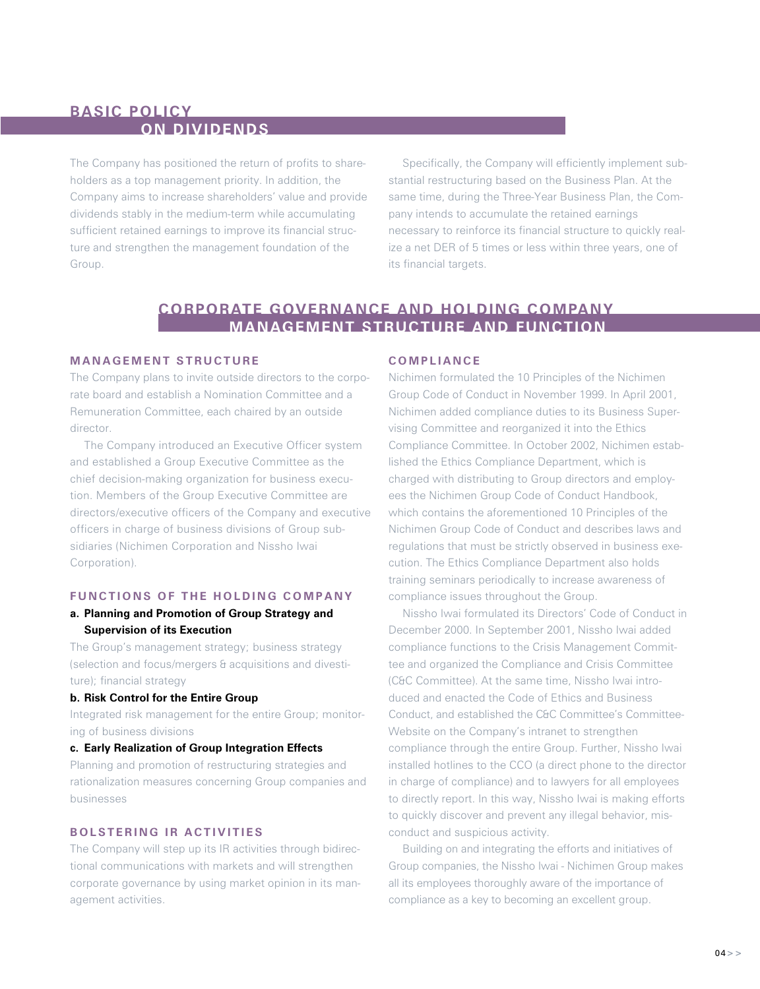# **BASIC POLICY ON DIVIDENDS**

The Company has positioned the return of profits to shareholders as a top management priority. In addition, the Company aims to increase shareholders' value and provide dividends stably in the medium-term while accumulating sufficient retained earnings to improve its financial structure and strengthen the management foundation of the Group.

Specifically, the Company will efficiently implement substantial restructuring based on the Business Plan. At the same time, during the Three-Year Business Plan, the Company intends to accumulate the retained earnings necessary to reinforce its financial structure to quickly realize a net DER of 5 times or less within three years, one of its financial targets.

# **CORPORATE GOVERNANCE AND HOLDING COMPANY MANAGEMENT STRUCTURE AND FUNCTION**

## **MANAGEMENT STRUCTURE**

The Company plans to invite outside directors to the corporate board and establish a Nomination Committee and a Remuneration Committee, each chaired by an outside director.

The Company introduced an Executive Officer system and established a Group Executive Committee as the chief decision-making organization for business execution. Members of the Group Executive Committee are directors/executive officers of the Company and executive officers in charge of business divisions of Group subsidiaries (Nichimen Corporation and Nissho Iwai Corporation).

## **FUNCTIONS OF THE HOLDING COMPANY**

## **a. Planning and Promotion of Group Strategy and Supervision of its Execution**

The Group's management strategy; business strategy (selection and focus/mergers & acquisitions and divestiture); financial strategy

#### **b. Risk Control for the Entire Group**

Integrated risk management for the entire Group; monitoring of business divisions

#### **c. Early Realization of Group Integration Effects**

Planning and promotion of restructuring strategies and rationalization measures concerning Group companies and businesses

## **BOLSTERING IR ACTIVITIES**

The Company will step up its IR activities through bidirectional communications with markets and will strengthen corporate governance by using market opinion in its management activities.

## **COMPLIANCE**

Nichimen formulated the 10 Principles of the Nichimen Group Code of Conduct in November 1999. In April 2001, Nichimen added compliance duties to its Business Supervising Committee and reorganized it into the Ethics Compliance Committee. In October 2002, Nichimen established the Ethics Compliance Department, which is charged with distributing to Group directors and employees the Nichimen Group Code of Conduct Handbook, which contains the aforementioned 10 Principles of the Nichimen Group Code of Conduct and describes laws and regulations that must be strictly observed in business execution. The Ethics Compliance Department also holds training seminars periodically to increase awareness of compliance issues throughout the Group.

Nissho Iwai formulated its Directors' Code of Conduct in December 2000. In September 2001, Nissho Iwai added compliance functions to the Crisis Management Committee and organized the Compliance and Crisis Committee (C&C Committee). At the same time, Nissho Iwai introduced and enacted the Code of Ethics and Business Conduct, and established the C&C Committee's Committee-Website on the Company's intranet to strengthen compliance through the entire Group. Further, Nissho Iwai installed hotlines to the CCO (a direct phone to the director in charge of compliance) and to lawyers for all employees to directly report. In this way, Nissho Iwai is making efforts to quickly discover and prevent any illegal behavior, misconduct and suspicious activity.

Building on and integrating the efforts and initiatives of Group companies, the Nissho Iwai - Nichimen Group makes all its employees thoroughly aware of the importance of compliance as a key to becoming an excellent group.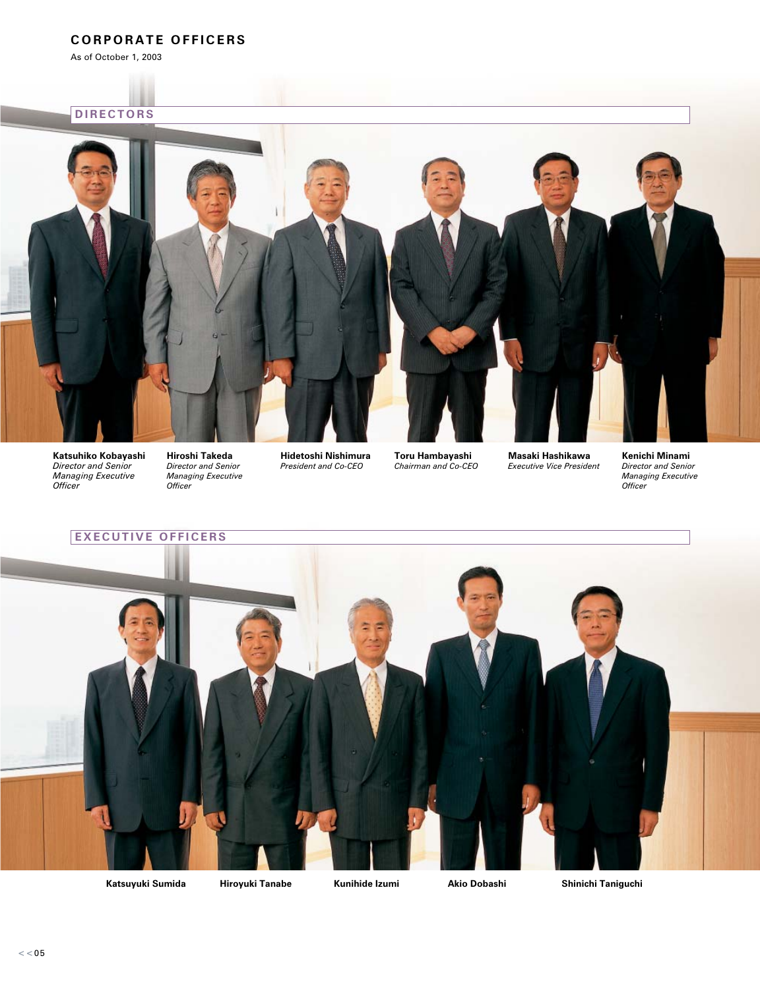# **CORPORATE OFFICERS**

As of October 1, 2003

# **DIRECTORS**



**Katsuhiko Kobayashi**  *Director and Senior Managing Executive Officer*

**Hiroshi Takeda**  *Director and Senior Managing Executive Officer* 

**Hidetoshi Nishimura**  *President and Co-CEO*

**Toru Hambayashi**  *Chairman and Co-CEO* **Masaki Hashikawa**  *Executive Vice President* **Kenichi Minami**  *Director and Senior Managing Executive Officer*

**EXECUTIVE OFFICERS**

**Katsuyuki Sumida Hiroyuki Tanabe Kunihide Izumi Akio Dobashi Shinichi Taniguchi**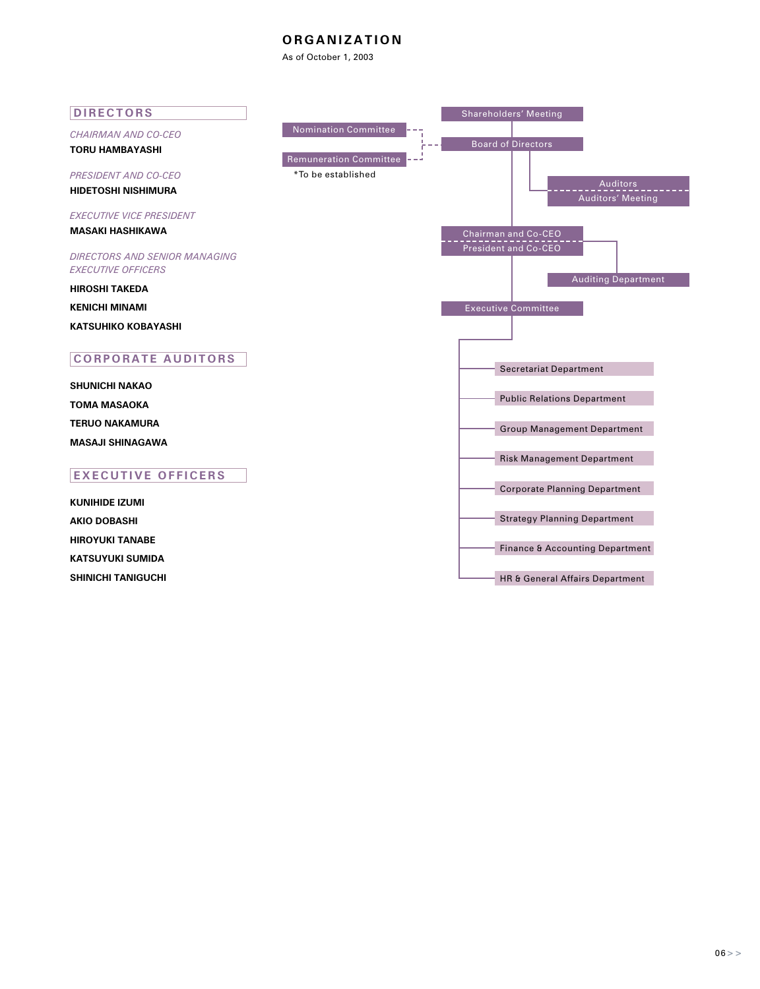## **ORGANIZATION**

As of October 1, 2003